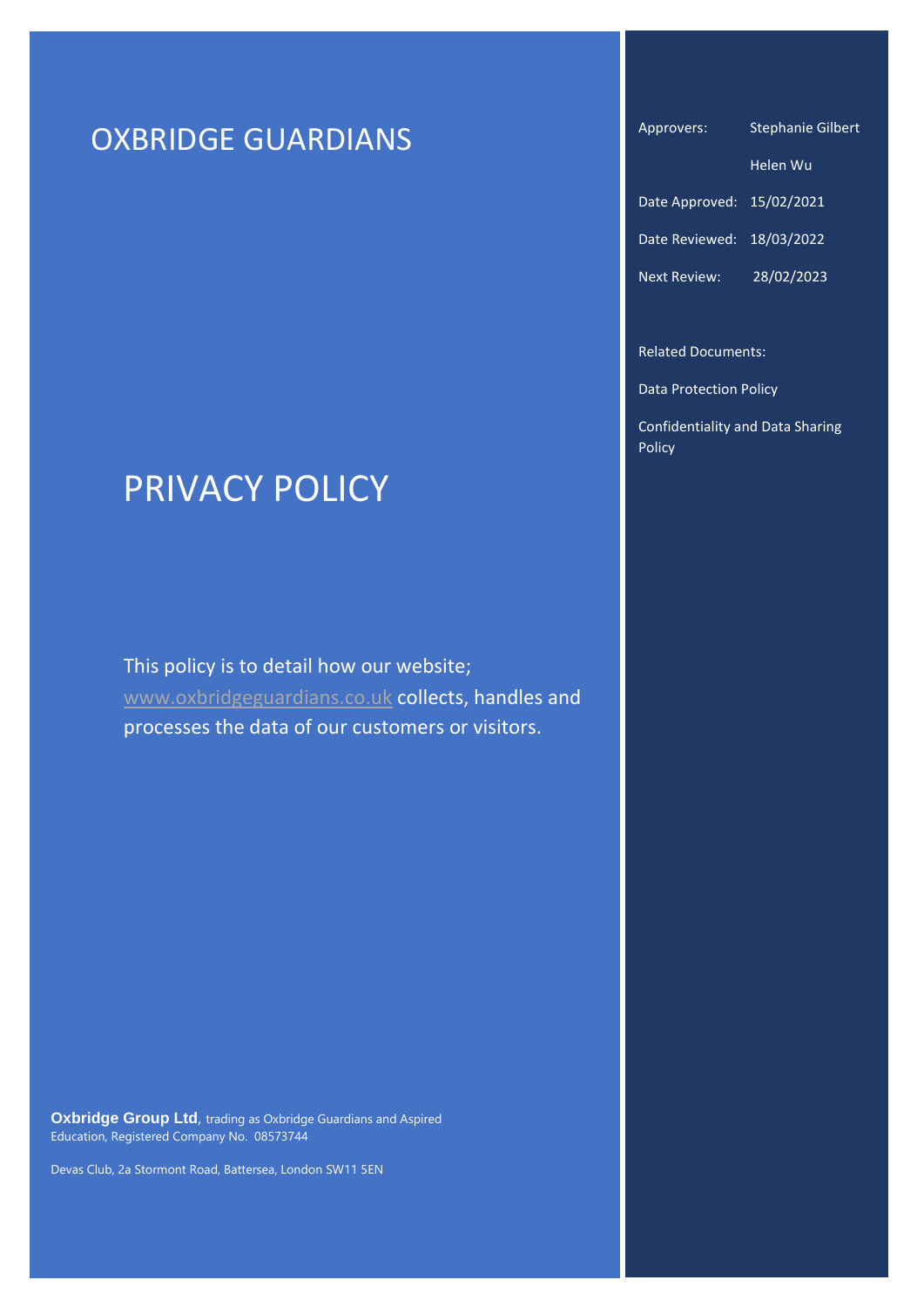# OXBRIDGE GUARDIANS

# PRIVACY POLICY

This policy is to detail how our website; [www.oxbridgeguardians.co.uk](http://www.oxbridgeguardians.co.uk/) collects, handles and processes the data of our customers or visitors.

**Oxbridge Group Ltd**, trading as Oxbridge Guardians and Aspired Education, Registered Company No. 08573744

Devas Club, 2a Stormont Road, Battersea, London SW11 5EN

Approvers: Stephanie Gilbert

|                           | Helen Wu   |
|---------------------------|------------|
| Date Approved: 15/02/2021 |            |
| Date Reviewed: 18/03/2022 |            |
| <b>Next Review:</b>       | 28/02/2023 |

Related Documents:

Data Protection Policy

Confidentiality and Data Sharing Policy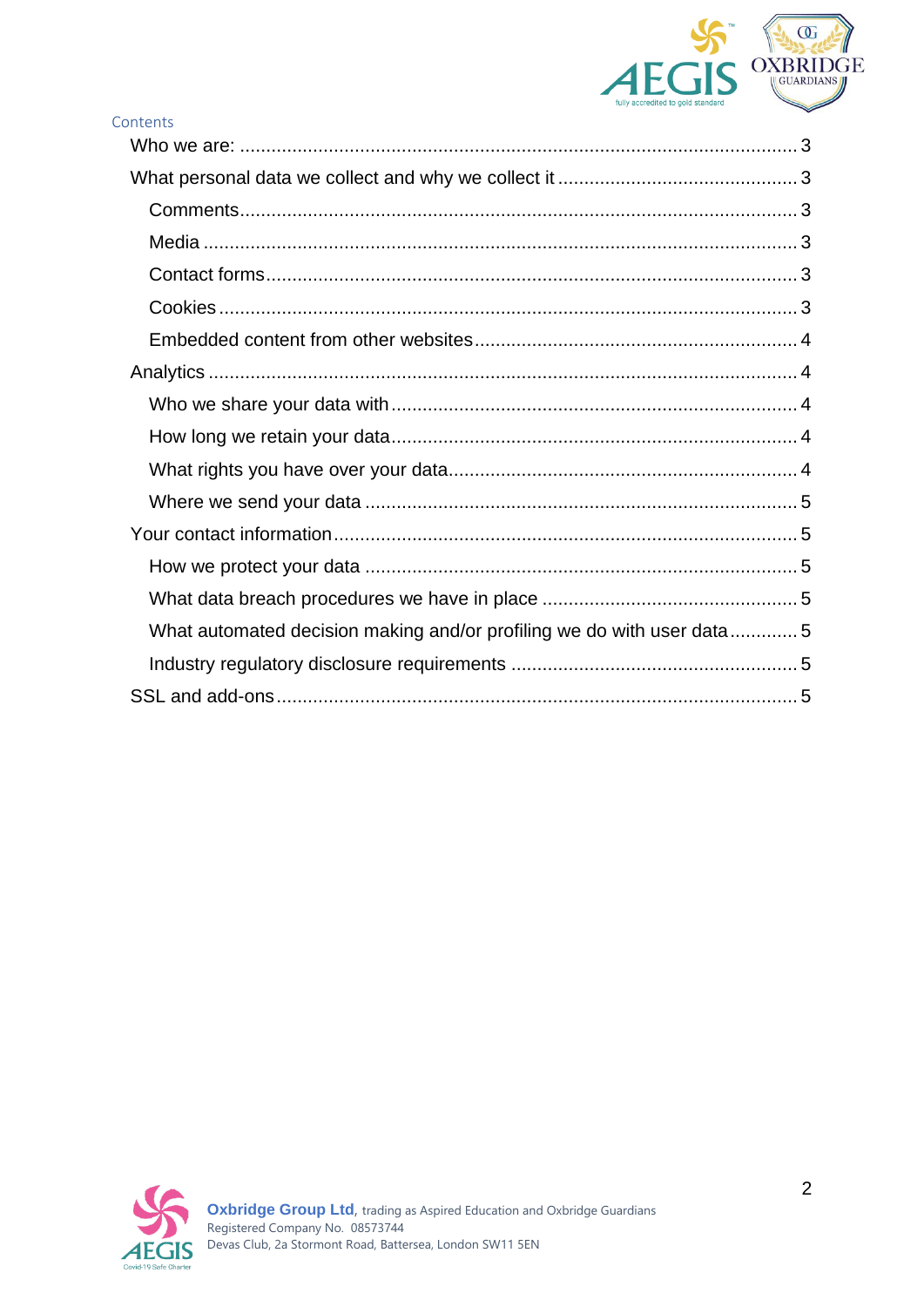

| Contents                                                              |  |
|-----------------------------------------------------------------------|--|
|                                                                       |  |
|                                                                       |  |
|                                                                       |  |
|                                                                       |  |
|                                                                       |  |
|                                                                       |  |
|                                                                       |  |
|                                                                       |  |
|                                                                       |  |
|                                                                       |  |
|                                                                       |  |
|                                                                       |  |
|                                                                       |  |
|                                                                       |  |
|                                                                       |  |
| What automated decision making and/or profiling we do with user data5 |  |
|                                                                       |  |
|                                                                       |  |
|                                                                       |  |

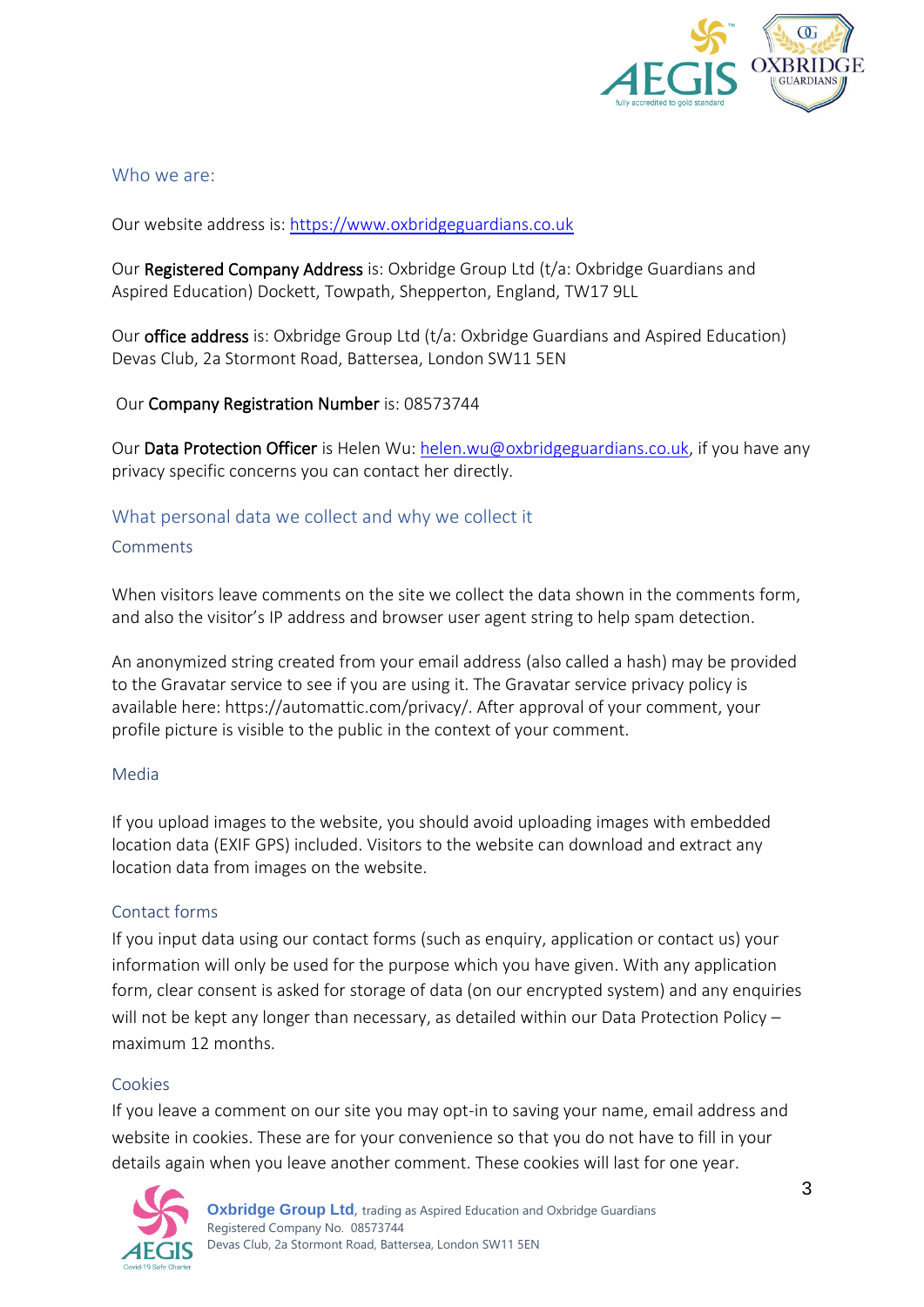

# <span id="page-2-0"></span>Who we are:

Our website address is[: https://www.oxbridgeguardians.co.uk](https://www.oxbridgeguardians.co.uk/)

Our Registered Company Address is: Oxbridge Group Ltd (t/a: Oxbridge Guardians and Aspired Education) Dockett, Towpath, Shepperton, England, TW17 9LL

Our office address is: Oxbridge Group Ltd (t/a: Oxbridge Guardians and Aspired Education) Devas Club, 2a Stormont Road, Battersea, London SW11 5EN

# Our Company Registration Number is: 08573744

Our Data Protection Officer is Helen Wu[: helen.wu@oxbridgeguardians.co.uk,](mailto:helen.wu@oxbridgeguardians.co.uk) if you have any privacy specific concerns you can contact her directly.

# <span id="page-2-1"></span>What personal data we collect and why we collect it

#### <span id="page-2-2"></span>Comments

When visitors leave comments on the site we collect the data shown in the comments form, and also the visitor's IP address and browser user agent string to help spam detection.

An anonymized string created from your email address (also called a hash) may be provided to the Gravatar service to see if you are using it. The Gravatar service privacy policy is available here: https://automattic.com/privacy/. After approval of your comment, your profile picture is visible to the public in the context of your comment.

## <span id="page-2-3"></span>Media

If you upload images to the website, you should avoid uploading images with embedded location data (EXIF GPS) included. Visitors to the website can download and extract any location data from images on the website.

## <span id="page-2-4"></span>Contact forms

If you input data using our contact forms (such as enquiry, application or contact us) your information will only be used for the purpose which you have given. With any application form, clear consent is asked for storage of data (on our encrypted system) and any enquiries will not be kept any longer than necessary, as detailed within our Data Protection Policy – maximum 12 months.

## <span id="page-2-5"></span>Cookies

If you leave a comment on our site you may opt-in to saving your name, email address and website in cookies. These are for your convenience so that you do not have to fill in your details again when you leave another comment. These cookies will last for one year.

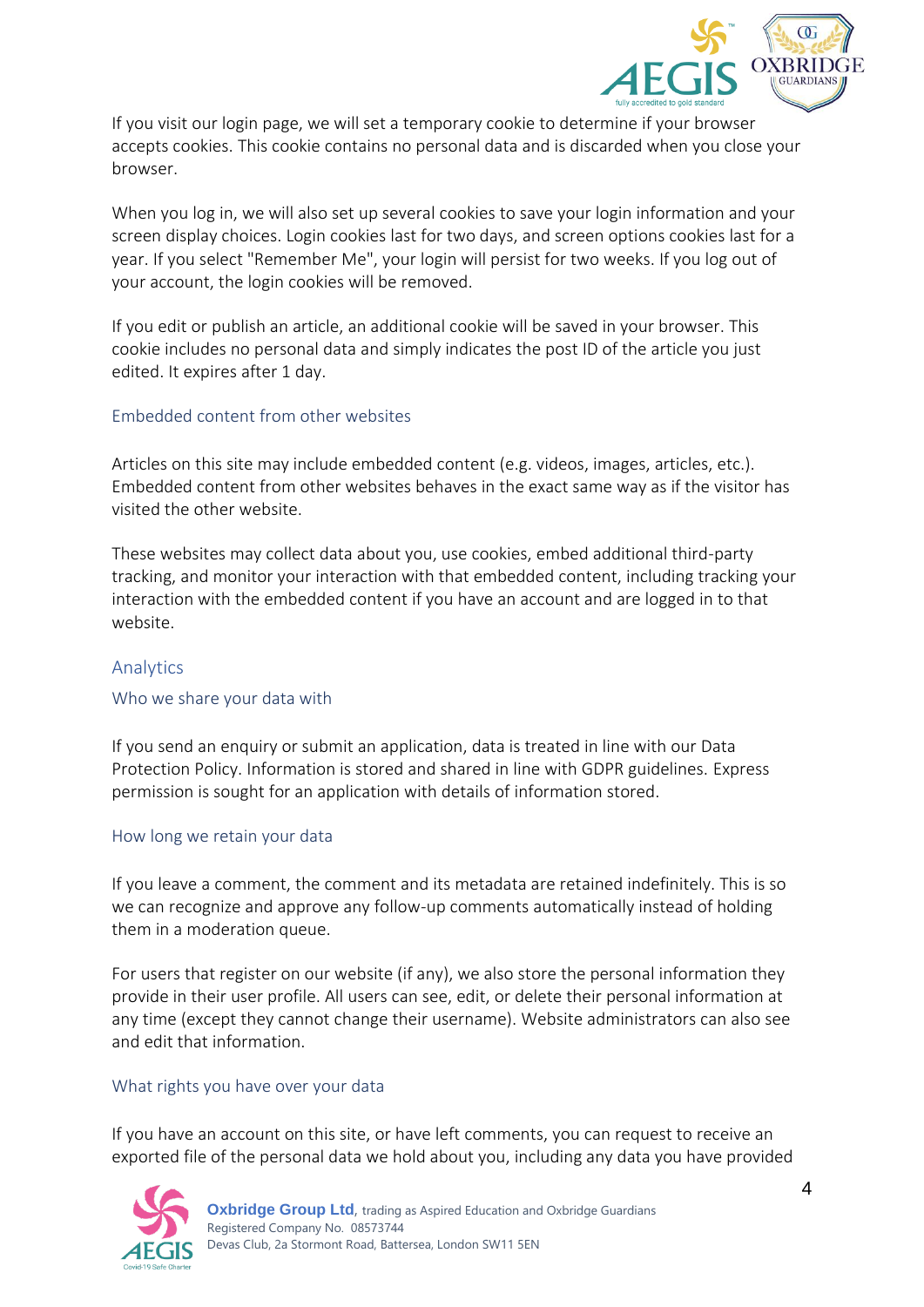

If you visit our login page, we will set a temporary cookie to determine if your browser accepts cookies. This cookie contains no personal data and is discarded when you close your browser.

When you log in, we will also set up several cookies to save your login information and your screen display choices. Login cookies last for two days, and screen options cookies last for a year. If you select "Remember Me", your login will persist for two weeks. If you log out of your account, the login cookies will be removed.

If you edit or publish an article, an additional cookie will be saved in your browser. This cookie includes no personal data and simply indicates the post ID of the article you just edited. It expires after 1 day.

# <span id="page-3-0"></span>Embedded content from other websites

Articles on this site may include embedded content (e.g. videos, images, articles, etc.). Embedded content from other websites behaves in the exact same way as if the visitor has visited the other website.

These websites may collect data about you, use cookies, embed additional third-party tracking, and monitor your interaction with that embedded content, including tracking your interaction with the embedded content if you have an account and are logged in to that website.

# <span id="page-3-1"></span>Analytics

## <span id="page-3-2"></span>Who we share your data with

If you send an enquiry or submit an application, data is treated in line with our Data Protection Policy. Information is stored and shared in line with GDPR guidelines. Express permission is sought for an application with details of information stored.

## <span id="page-3-3"></span>How long we retain your data

If you leave a comment, the comment and its metadata are retained indefinitely. This is so we can recognize and approve any follow-up comments automatically instead of holding them in a moderation queue.

For users that register on our website (if any), we also store the personal information they provide in their user profile. All users can see, edit, or delete their personal information at any time (except they cannot change their username). Website administrators can also see and edit that information.

## <span id="page-3-4"></span>What rights you have over your data

If you have an account on this site, or have left comments, you can request to receive an exported file of the personal data we hold about you, including any data you have provided